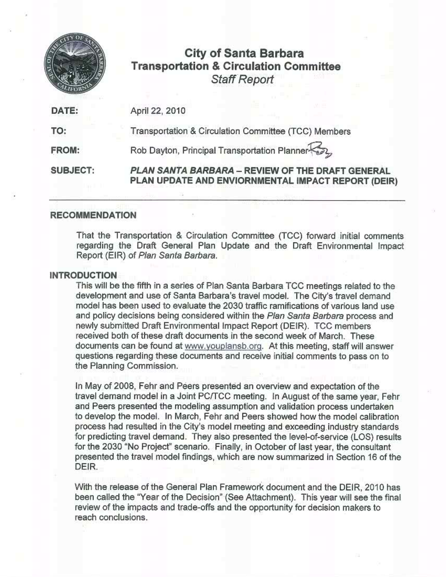

# City of Santa Barbara Transportation & Circulation Committee Staff Report

|                 | <b>Staff Report</b>                                                                                    |  |  |  |  |  |
|-----------------|--------------------------------------------------------------------------------------------------------|--|--|--|--|--|
| DATE:           | April 22, 2010                                                                                         |  |  |  |  |  |
| TO:             | Transportation & Circulation Committee (TCC) Members                                                   |  |  |  |  |  |
| <b>FROM:</b>    | Rob Dayton, Principal Transportation Planner                                                           |  |  |  |  |  |
| <b>SUBJECT:</b> | PLAN SANTA BARBARA - REVIEW OF THE DRAFT GENERAL<br>PLAN UPDATE AND ENVIORNMENTAL IMPACT REPORT (DEIR) |  |  |  |  |  |

## **RECOMMENDATION**

That the Transportation & Circulation Committee (TCC) forward initial comments regarding the Draft General Plan Update and the Draft Environmental Impact Report (EIR) of Plan Santa Barbara.

## INTRODUCTION

This will be the fifth in a series of Plan Santa Barbara TCC meetings related to the development and use of Santa Barbara's travel model. The City's travel demand model has been used to evaluate the 2030 traffic ramifications of various land use and policy decisions being considered within the Plan Santa Barbara process and newly submitted Draft Environmental Impact Report (DEIR). TCC members received both of these draft documents in the second week of March. These documents can be found at www.youplansb.org. At this meeting, staff will answer questions regarding these documents and receive initial comments to pass on to the Planning Commission.

In May of 2008, Fehr and Peers presented an overview and expectation of the travel demand model in a Joint PC/TCC meeting. In August of the same year, Fehr and Peers presented the modeling assumption and validation process undertaken to develop the model. In March, Fehr and Peers showed how the model calibration process bad resulted in the City's model meeting and exceeding.industry standards for predicting travel demand. They also presented the level-of-service (LOS) results for the 2030 "No Project" scenario. Finally, in October of last year, the consultant presented the travel model findings, which are now summarized in Section 16 of the DEIR.

With the release of the General Plan Framework document and the DEIR, 2010 has been called the "Year of the Decision" (See Attachment). This year will see the final review of the impacts and trade-offs and the opportunity for decision makers to reach conclusions.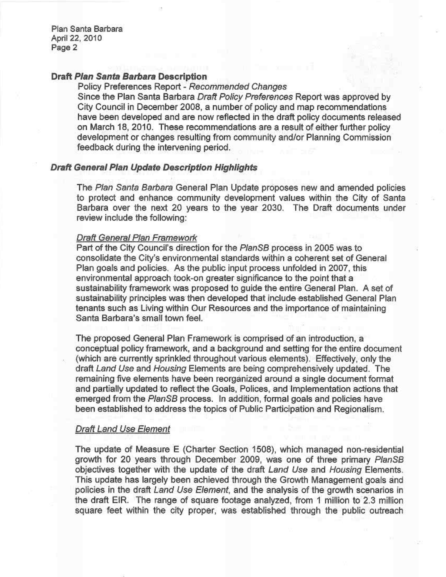## Draft Plan Santa Barbara Description

Policy Preferences Report - Recommended Changes Since the Plan Santa Barbara Draft Policy Preferences Report was approved by City Council in December 2008, a number of policy and map recommendations have been developed and are now reflected in the draft policy documents released on March 18, 2010. These recommendations are a result of either further policy development or changes resulting from community and/or Planning Commission feedback during the intervening period.

## Draft General Plan Update bescription Highlights

The Plan Santa Barbara General Plan Update proposes new and amended policies to protect and enhance community development values within the City of Santa Barbara over the next 20 years to the year 2030. The Draft documents under review include the following:

## Draft General Plan Framework

Part of the City Council's direction for the PlanSB process in 2005 was to consolidate the City's environmental standards within a coherent set of General Plan goals and policies. As the public input process unfolded in 2007, this environmental approach took-on greater significance to the point that a sustainability framework was proposed to guide the entire General Plan. A set of sustainability principles was then developed that include established General Plan tenants such as Living within Our Resources and the importance of maintaining Santa Barbara's small town feel.

The proposed General Plan Framework is comprised of an introduction, a conceptual policy framework, and a background and setting for the entire document (which are currently sprinkled throughout various elements). Effectively, only the draft Land Use and Housing Elements are being comprehensively updated. The remaining five elements have been reorganized around a single document format and partially updated to reflect the Goals, Polices, and Implementation actions that emerged from the PlanSB process. In addition, formal goals and policies have been established to address the topics of Public Participation and Regionalism.

## Draft Land Use Element

The update of Measure <sup>E</sup> (Charter Section 1508), which managed non-residential growth for 20 years through December 2009, was one of three primary PlanSB objectives together with the update of the draft Land Use and Housing Elements. This update has largely been achieved through the Growth Management goals and policies in the draft Land Use Element, and the analysis of the growth scenarios in the draft EIR. The range of square footage analyzed, from <sup>I</sup> million to 2.3 million square feet within the city proper, was established through the public outreach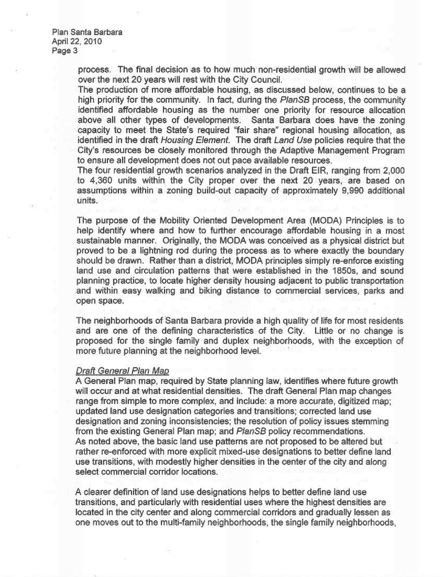> process. The final decision as to how. much non-residential growth will be allowed over the next 20 years will rest with the City Council.

> The production of more affordable housing, as discussed below, continues to be a high priority for the community. In fact, during the PlanSB process, the community identified affordable housing as the number one priority for resource allocation above all other types of developments. Santa Barbara does have the zoning capacity to meet the State's required "fair share" regional housing allocation, as identified in the draft Housing Element. The draft Land Use policies require that the City's resources be closely monitored through the Adaptive Management Program to ensure all development does not out pace available resources.

> The four residential growth scenarios analyzed in the Draft EIR, ranging from 2,000 to 4,360 units within the City proper over the next 20 years, are based on assumptions within a zoning build-out capacity of approximately 9,990 additional units.

> The purpose of the Mobility Oriented Development Area (MODA) Principles is to help identify where and how to further encourage affordable housing in a most sustainable manner. Originally, the MODA was conceived as a physical district but proved to be a lightning rod during the process as to where exactly the boundary should be drawn. Rather than a district, MODA principles simply re-enforce existing land use and circulation patterns that were established in the 1850s, and sound planning practice, to locate higher density housing adjacent to public transportation and within easy walking and biking distance to commercial services, parks and open space.

> The neighborhoods of Santa Barbara provide a high quality of life for most residents and are one of the defining characteristics of the City. Little or no change is proposed for the single family and duplex neighborhoods, with the exception of more future planning at the neighborhood level.

#### Draft General Plan Map

A General Plan map, required by State planning law, identifies where future growth will occur and at what residential densities. The draft General Plan map changes range from simple to more complex, and include: a more accurate, digitized map; updated land use designation categories and transitions; corrected land use designation and zoning inconsistencies; the resolution of policy issues stemming from the existing General Plan map; and PlanSB policy recommendations. As noted above, the basic land use patterns are not proposed to be altered but rather re-enforced with more explicit mixed-use designations to better define land use transitions, with modestly higher densities in the center of the city and along select commercial corridor locations.

A clearer definition of land use designations helps to better define land use transitions, and particularly with residential uses where the highest densities are located in the city center and along commercial corridors and gradually lessen as one moves out to the multi-family neighborhoods, the single family neighborhoods,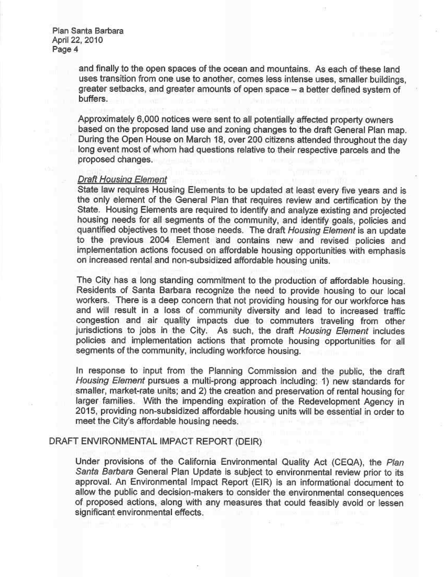> and finally to the open spaces of the ocean and mountains. As each of these land uses transition from one use to another, comes less intense uses, smaller buildings, greater setbacks, and greater amounts of open space — a better defined system of buffers.

> Approximately 6,000 notices were sent to all potentially affected property owners based on the proposed land use and zoning changes to the draft General Plan map. During the Open House on March 10, over 200 citizens attended throughout the day long event most of whom had questions relative to their respective parcels and the proposed changes.

#### Draft Housing Element

State law requires Housing Elements to be updated at least every five years and is the only element of the General Plan that requires review and certification by the<br>State. Housing Elements are required to identify and analyze existing and projected housing needs for all segments of the community, and identify goals, policies and quantified objectives to meet those needs. The draft Housing Element is an update to the previous 2004 Element and contains new and revised policies and implementation actions focused on affordable housing opportunities with emphasis on increased rental and non-subsidized affordable housing units.

The City has a long standing commitment to the production of affordable housing. Residents of Santa Darbara recognize the need to provide housing to our local workers. There is a deep concern that not providing housing for our workforce has and will result in a loss of community diversity and lead to increased traffic congestion and air quality impacts due to commuters traveling from other jurisdictions to jobs in the City. As such, the draft Housing Element includes policies and implementation actions that promote housing opportunities for all segments of the community, including workforce housing.

In response to input from the Planning Commission and the public, the draft Housing Element pursues a multi-prong approach including: 1) new standards for smaller, market-rate units; and 2) the creation and preservation of rental housing for larger families. With the inpending expiration of the Redevelopment Agency in 2015, providing non-subsidized affordable housing units will be essential in order to meet the City's affordable housing needs.

## DRRFT ENVIRONMENTAL IMPACT REPORT (DEIR)

Under provisions of the California Environmental Quality Act (CEQA), the Plan Santa Barbara General Plan Update is subject to environmental review prior to its approval. An Environmental Impact Report (EIR) is an informational document to allow the public and decision-makers to consider the environmental consequences of proposed actions, along With any measures that could feasibly avoid or lessen significant environmental effects.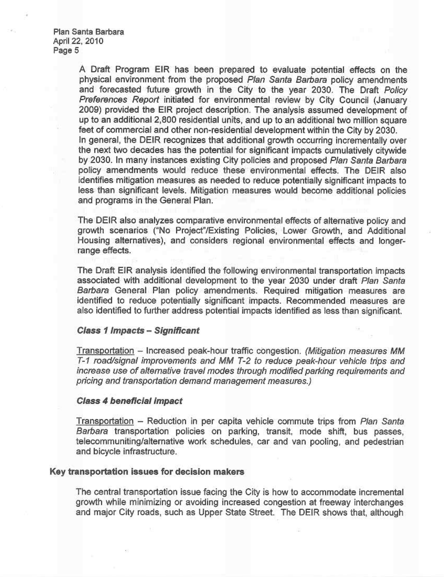> A Draft Program EIR has been prepared to evaluate potential effects on the physical environment from the proposed Plan Santa Barbara policy amendments and forecasted future growth in the City to the year 2030. The Draft Policy Preferences Report initiated for environmental review by City Council (January 2009) provided the EIR project description. The analysis assumed development of up to an additional 2,800 residential units, and up to an additional two million square feet of commercial and other non-residential development within the City by 2030. In general, the DEIR recognizes that additional growth occurring incrementally over the next two decades has the potential for significant impacts cumulatively citywide by 2030. In many instances existing City policies and proposed Plan Santa Barbara policy amendments would reduce these environmental effects. The DEIR also identifies mitigation measures as needed to reduce potentially significant impacts to less than significant levels. Mitigation measures would become additional policies and programs in the Generat Plan.

> The DEIR also analyzes comparative environmental effects of alternative policy and growth scenarios ("No Project"/Existing Policies, Lower Growth, and Additional Housing alternatives), and considers regional environmental effects and longerrange effects.

> The Draft EIR analysis identified the following environmental transportation impacts associated with additional development to the year 2030 under draft Plan Santa Barbara General Plan policy amendments. Required mitigation measures are identified to reduce potentially significant impacts. Recommended measures are also identified to further address potential impacts identified as less than significant.

## Class I Impacts — Significant

Transportation — Increased peak-hour traffic congestion. (Mitigation measures MM T-1 mad/signal improvements and MM T-2 to reduce peak-hour vehicle trips and increase use of alternative travel modes through modified parking requirements and pricing and transportation demand management measures.)

## Class 4 beneficial impact

Transportation — Reduction in per capita vehicle commute trips from Plan Santa Barbara transportation policies on parking, transit, mode shift, bus passes, telecommuniting/alternative work schedules, car and van pooling, and pedestrian and bicycle infrastructure.

## Key transportation issues for decision makers

The central transportation issue facing the City is how to accommodate incremental growth while minimizing or avoiding increased congestion at freeway interchanges and major City roads, such as Upper State Street. The DEIR shows that, although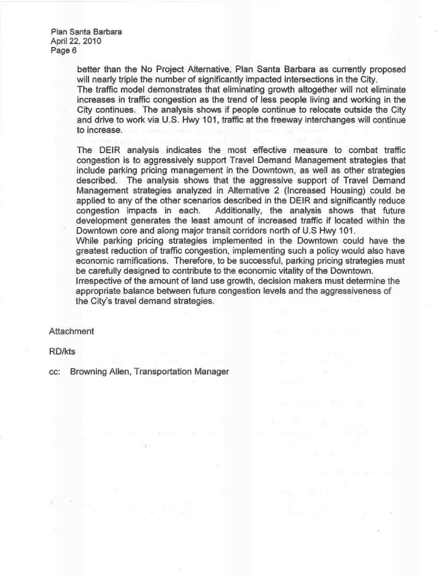> better than the No Project Alternative, Plan Santa Barbara as currently proposed will nearly triple the number of significantly impacted intersections in the City. The traffic model demonstrates that eliminating growth altogether will not eliminate increases in traffic congestion as the trend of less people living and working in the City continues. The analysis shows if people continue to relocate outside the City and drive to work via U.S. Hwy 101, traffic at the freeway interchanges will continue to increase.

> The DEIR analysis indicates the most effective measure to combat traffic congestion is to aggressively support Travel Demand Management strategies that include parking pricing management in the Downtown, as well as other strategies described. The analysis shows that the aggressive support of Travel Demand Management strategies analyzed in Alternative 2 (Increased Housing) could be applied to any of the other scenarios described in the DEIR and significantly reduce congestion impacts in each. Additionally, the analysis shows that future development generates the least amount of increased traffic if located within the Downtown core and along major transit corridors north of U.S Hwy 101.

> While parking pricing strategies implemented in the Downtown could have the greatest reduction of traffic congestion, implementing such a policy would also have economic ramifications. Therefore, to be successful, parking pricing strategies must be carefully designed to contribute to the economic vitality of the Downtown.

Irrespective of the amount of land use growth, decision makers must determine the appropriate balance between future congestion levels and the aggressiveness of the City's travel demand strategies.

#### **Attachment**

RDIkts

cc: Browning Allen, Transportation Manager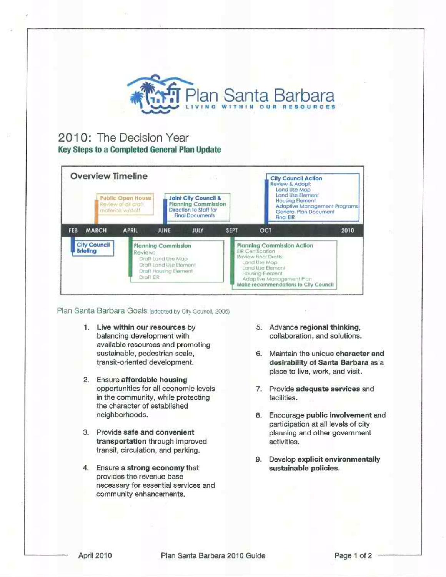

## 2010: The Decision Year Key Steps to a Completed General Plan Update

| <b>Overview Timeline</b>                                       |                                          |                                                                                                     | $-17.7$                                                                                                           |                                                                                                                                                                                                            |                                                                                                                  | <b>City Council Action</b><br>Review & Adopt:<br>Land Use Map |  |
|----------------------------------------------------------------|------------------------------------------|-----------------------------------------------------------------------------------------------------|-------------------------------------------------------------------------------------------------------------------|------------------------------------------------------------------------------------------------------------------------------------------------------------------------------------------------------------|------------------------------------------------------------------------------------------------------------------|---------------------------------------------------------------|--|
|                                                                | Review of all draft<br>materials w/stalf | Public Open House                                                                                   | <b>Joint City Council &amp;</b><br><b>Planning Commission</b><br>Direction to Staff for<br><b>Final Documents</b> |                                                                                                                                                                                                            | Land Use Element<br><b>Housing Element</b><br>Adaptive Management Programs<br>General Plan Document<br>Final EIR |                                                               |  |
| <b>MARCH</b><br>FEB                                            |                                          | <b>APRIL</b>                                                                                        | JULY<br>JUNE                                                                                                      | <b>SEPT</b>                                                                                                                                                                                                | OCT                                                                                                              | 2010                                                          |  |
| <b>City Council</b><br><b>Briefing</b><br>Review:<br>Draft EIR |                                          | <b>Planning Commission</b><br>Draft Land Use Map<br>Draft Land Use Element<br>Draft Housing Element |                                                                                                                   | <b>Planning Commission Action</b><br>EIR Certification<br>Review Final Drafts:<br>Land Use Map<br>Land Use Element<br>Housing Element<br>Adaptive Management Plan:<br>Make recommendations to City Council |                                                                                                                  |                                                               |  |

Plan Santa Barbara Goals (adopted by City Council, 2005)

- 1. LIve within our resources by balancing development with available resources and promoting sustainable, pedestrian scale, transit-oriented development.
- 2. Ensure affordable housing opportunities for all economic levels in the community, while protecting the character of established neighborhoods.
- 3. Provide sate and convenient transportation through improved transit, circulation, and parking.
- 4. Ensure a strong economy that provldos the revenue base necessary for essential services and community enhancements.
- 5. Advance regional thinking, collaboration, and solutions.
- 6. Maintain the unique character and desirability of Santa Barbara as a place to live, work, and visit.
- 7. Provide adequate services and facilities.
- B. Encourage public involvement and participation at all levels of city planning and other government activities.
- 9. Develop explicit environmentally sustainable policies.